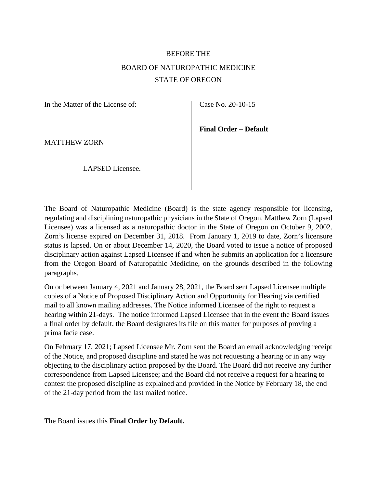# BEFORE THE BOARD OF NATUROPATHIC MEDICINE STATE OF OREGON

In the Matter of the License of:

Case No. 20-10-15

**Final Order – Default** 

MATTHEW ZORN

LAPSED Licensee.

The Board of Naturopathic Medicine (Board) is the state agency responsible for licensing, regulating and disciplining naturopathic physicians in the State of Oregon. Matthew Zorn (Lapsed Licensee) was a licensed as a naturopathic doctor in the State of Oregon on October 9, 2002. Zorn's license expired on December 31, 2018. From January 1, 2019 to date, Zorn's licensure status is lapsed. On or about December 14, 2020, the Board voted to issue a notice of proposed disciplinary action against Lapsed Licensee if and when he submits an application for a licensure from the Oregon Board of Naturopathic Medicine, on the grounds described in the following paragraphs.

On or between January 4, 2021 and January 28, 2021, the Board sent Lapsed Licensee multiple copies of a Notice of Proposed Disciplinary Action and Opportunity for Hearing via certified mail to all known mailing addresses. The Notice informed Licensee of the right to request a hearing within 21-days. The notice informed Lapsed Licensee that in the event the Board issues a final order by default, the Board designates its file on this matter for purposes of proving a prima facie case.

On February 17, 2021; Lapsed Licensee Mr. Zorn sent the Board an email acknowledging receipt of the Notice, and proposed discipline and stated he was not requesting a hearing or in any way objecting to the disciplinary action proposed by the Board. The Board did not receive any further correspondence from Lapsed Licensee; and the Board did not receive a request for a hearing to contest the proposed discipline as explained and provided in the Notice by February 18, the end of the 21-day period from the last mailed notice.

The Board issues this **Final Order by Default.**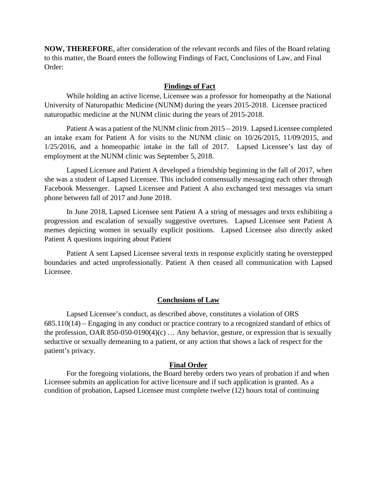**NOW, THEREFORE**, after consideration of the relevant records and files of the Board relating to this matter, the Board enters the following Findings of Fact, Conclusions of Law, and Final Order:

### **Findings of Fact**

While holding an active license, Licensee was a professor for homeopathy at the National University of Naturopathic Medicine (NUNM) during the years 2015-2018. Licensee practiced naturopathic medicine at the NUNM clinic during the years of 2015-2018.

Patient A was a patient of the NUNM clinic from 2015 – 2019. Lapsed Licensee completed an intake exam for Patient A for visits to the NUNM clinic on 10/26/2015, 11/09/2015, and 1/25/2016, and a homeopathic intake in the fall of 2017. Lapsed Licensee's last day of employment at the NUNM clinic was September 5, 2018.

Lapsed Licensee and Patient A developed a friendship beginning in the fall of 2017, when she was a student of Lapsed Licensee. This included consensually messaging each other through Facebook Messenger. Lapsed Licensee and Patient A also exchanged text messages via smart phone between fall of 2017 and June 2018.

In June 2018, Lapsed Licensee sent Patient A a string of messages and texts exhibiting a progression and escalation of sexually suggestive overtures. Lapsed Licensee sent Patient A memes depicting women in sexually explicit positions. Lapsed Licensee also directly asked Patient A questions inquiring about Patient

Patient A sent Lapsed Licensee several texts in response explicitly stating he overstepped boundaries and acted unprofessionally. Patient A then ceased all communication with Lapsed Licensee.

#### **Conclusions of Law**

Lapsed Licensee's conduct, as described above, constitutes a violation of ORS 685.110(14) – Engaging in any conduct or practice contrary to a recognized standard of ethics of the profession, OAR 850-050-0190(4)(c)  $\ldots$  Any behavior, gesture, or expression that is sexually seductive or sexually demeaning to a patient, or any action that shows a lack of respect for the patient's privacy.

#### **Final Order**

For the foregoing violations, the Board hereby orders two years of probation if and when Licensee submits an application for active licensure and if such application is granted. As a condition of probation, Lapsed Licensee must complete twelve (12) hours total of continuing